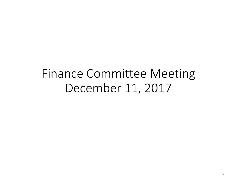# Finance Committee Meeting December 11, 2017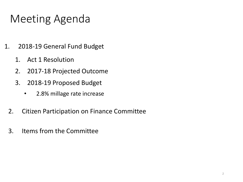# Meeting Agenda

- 1. 2018-19 General Fund Budget
	- 1. Act 1 Resolution
	- 2. 2017-18 Projected Outcome
	- 3. 2018-19 Proposed Budget
		- 2.8% millage rate increase
	- 2. Citizen Participation on Finance Committee
	- 3. Items from the Committee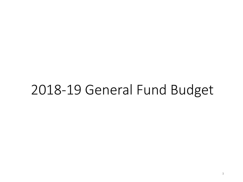# 2018-19 General Fund Budget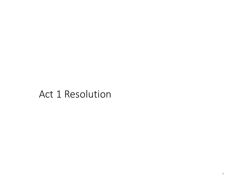### Act 1 Resolution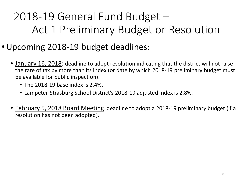# 2018-19 General Fund Budget – Act 1 Preliminary Budget or Resolution

- •Upcoming 2018-19 budget deadlines:
	- January 16, 2018: deadline to adopt resolution indicating that the district will not raise the rate of tax by more than its index (or date by which 2018-19 preliminary budget must be available for public inspection).
		- The 2018-19 base index is 2.4%.
		- Lampeter-Strasburg School District's 2018-19 adjusted index is 2.8%.
	- February 5, 2018 Board Meeting: deadline to adopt a 2018-19 preliminary budget (if a resolution has not been adopted).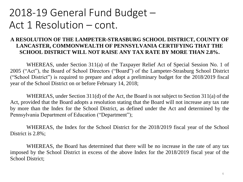### 2018-19 General Fund Budget – Act 1 Resolution – cont.

#### **A RESOLUTION OF THE LAMPETER-STRASBURG SCHOOL DISTRICT, COUNTY OF LANCASTER, COMMONWEALTH OF PENNSYLVANIA CERTIFYING THAT THE SCHOOL DISTRICT WILL NOT RAISE ANY TAX RATE BY MORE THAN 2.8%.**

WHEREAS, under Section 311(a) of the Taxpayer Relief Act of Special Session No. 1 of 2005 ("Act"), the Board of School Directors ("Board") of the Lampeter-Strasburg School District ("School District") is required to prepare and adopt a preliminary budget for the 2018/2019 fiscal year of the School District on or before February 14, 2018;

WHEREAS, under Section 311(d) of the Act, the Board is not subject to Section 311(a) of the Act, provided that the Board adopts a resolution stating that the Board will not increase any tax rate by more than the Index for the School District, as defined under the Act and determined by the Pennsylvania Department of Education ("Department");

WHEREAS, the Index for the School District for the 2018/2019 fiscal year of the School District is 2.8%;

WHEREAS, the Board has determined that there will be no increase in the rate of any tax imposed by the School District in excess of the above Index for the 2018/2019 fiscal year of the School District;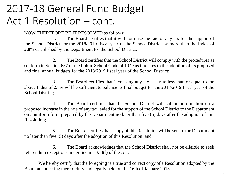## 2017-18 General Fund Budget – Act 1 Resolution – cont.

NOW THEREFORE BE IT RESOLVED as follows:

1. The Board certifies that it will not raise the rate of any tax for the support of the School District for the 2018/2019 fiscal year of the School District by more than the Index of 2.8% established by the Department for the School District;

2. The Board certifies that the School District will comply with the procedures as set forth in Section 687 of the Public School Code of 1949 as it relates to the adoption of its proposed and final annual budgets for the 2018/2019 fiscal year of the School District;

3. The Board certifies that increasing any tax at a rate less than or equal to the above Index of 2.8% will be sufficient to balance its final budget for the 2018/2019 fiscal year of the School District;

4. The Board certifies that the School District will submit information on a proposed increase in the rate of any tax levied for the support of the School District to the Department on a uniform form prepared by the Department no later than five (5) days after the adoption of this Resolution;

5. The Board certifiesthat a copy of this Resolution will be sent to the Department no later than five (5) days after the adoption of this Resolution; and

6. The Board acknowledges that the School District shall not be eligible to seek referendum exceptions under Section 333(f) of the Act.

We hereby certify that the foregoing is a true and correct copy of a Resolution adopted by the Board at a meeting thereof duly and legally held on the 16th of January 2018.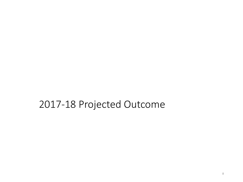### 2017-18 Projected Outcome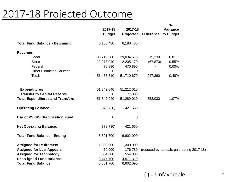### 2017-18 Projected Outcome

|                                         |               |             |                      | %                                        |  |
|-----------------------------------------|---------------|-------------|----------------------|------------------------------------------|--|
|                                         | 2017-18       | 2017-18     |                      | Variance                                 |  |
|                                         | <b>Budget</b> | Projected   | Difference to Budget |                                          |  |
| <b>Total Fund Balance - Beginning</b>   | 6,180,430     | 6,180,430   |                      |                                          |  |
| Revenue:                                |               |             |                      |                                          |  |
| Local                                   | 38,719,380    | 39,034,610  | 315,230              | 0.81%                                    |  |
| <b>State</b>                            | 12,273,040    | 12,205,170  | (67, 870)            | $-0.55%$                                 |  |
| Federal                                 | 470,890       | 470,890     |                      | 0.00%                                    |  |
| <b>Other Financing Sources</b>          | $\pmb{0}$     | 0           |                      |                                          |  |
| Total:                                  | 51,463,310    | 51,710,670  | 247,360              | 0.48%                                    |  |
|                                         |               |             |                      |                                          |  |
| <b>Expenditures</b>                     | 51,842,040    | 51,212,010  |                      |                                          |  |
| <b>Transfer to Capital Reserve</b>      | 0             | 77,000      |                      |                                          |  |
| <b>Total Expenditures and Transfers</b> | 51,842,040    | 51,289,010  | 553,030              | 1.07%                                    |  |
| <b>Operating Balance:</b>               | (378, 730)    | 421,660     |                      |                                          |  |
| Use of PSERS Stabilization Fund         | 0             | $\mathbf 0$ |                      |                                          |  |
| <b>Net Operating Balance:</b>           | (378, 730)    | 421,660     |                      |                                          |  |
| <b>Total Fund Balance - Ending</b>      | 5,801,700     | 6,602,090   |                      |                                          |  |
| <b>Assigned for Retirement</b>          | 1,300,000     | 1,300,000   |                      |                                          |  |
| <b>Assigned for Lost Appeals</b>        | 470,000       | 176,780     |                      | (reduced by appeals paid during 2017-18) |  |
| <b>Assigned for Technology</b>          | 554,000       | 554,000     |                      |                                          |  |
| <b>Unassigned Fund Balance</b>          | 3,477,700     | 4,571,310   |                      |                                          |  |
| <b>Total Fund Balance</b>               | 5,801,700     | 6,602,090   |                      |                                          |  |

#### ( ) = Unfavorable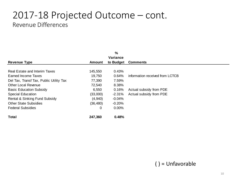#### 2017-18 Projected Outcome – cont. Revenue Differences

|                                         |           | %         |                                 |
|-----------------------------------------|-----------|-----------|---------------------------------|
|                                         |           | Variance  |                                 |
| <b>Revenue Type</b>                     | Amount    | to Budget | <b>Comments</b>                 |
|                                         |           |           |                                 |
| Real Estate and Interim Taxes           | 145,550   | 0.43%     |                                 |
| Earned Income Taxes                     | 19,750    | 0.64%     | information received from LCTCB |
| Del Tax, Transf Tax, Public Utility Tax | 77,390    | 7.59%     |                                 |
| Other Local Revenue                     | 72,540    | 8.38%     |                                 |
| <b>Basic Education Subsidy</b>          | 6,550     | 0.16%     | Actual subsidy from PDE         |
| <b>Special Education</b>                | (33,000)  | $-2.31%$  | Actual subsidy from PDE         |
| Rental & Sinking Fund Subsidy           | (4,940)   | $-0.04%$  |                                 |
| <b>Other State Subsidies</b>            | (36, 480) | $-0.20%$  |                                 |
| <b>Federal Subsidies</b>                | 0         | $0.00\%$  |                                 |
| Total                                   | 247,360   | 0.48%     |                                 |

( ) = Unfavorable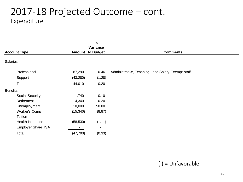#### 2017-18 Projected Outcome – cont. Expenditure

|                           |           | $\frac{0}{0}$                       |                                                   |
|---------------------------|-----------|-------------------------------------|---------------------------------------------------|
| <b>Account Type</b>       |           | Variance<br><b>Amount to Budget</b> | <b>Comments</b>                                   |
| Salaries                  |           |                                     |                                                   |
| Professional              | 87,290    | 0.46                                | Administrative, Teaching, and Salary Exempt staff |
| Support                   | (43, 280) | (1.28)                              |                                                   |
| Total:                    | 44,010    | 0.20                                |                                                   |
| <b>Benefits</b>           |           |                                     |                                                   |
| Social Security           | 1,740     | 0.10                                |                                                   |
| Retirement                | 14,340    | 0.20                                |                                                   |
| Unemployment              | 10,000    | 50.00                               |                                                   |
| Worker's Comp             | (15, 340) | (8.87)                              |                                                   |
| Tuition                   | -         | $\overline{\phantom{a}}$            |                                                   |
| Health Insurance          | (58, 530) | (1.11)                              |                                                   |
| <b>Employer Share TSA</b> |           | $\blacksquare$                      |                                                   |
| Total:                    | (47, 790) | (0.33)                              |                                                   |

#### ( ) = Unfavorable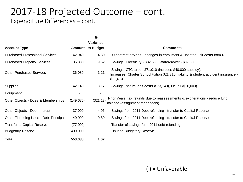#### 2017-18 Projected Outcome – cont. Expenditure Differences – cont.

|                                        |            | $\frac{0}{0}$ |                                                                                                                                                                |
|----------------------------------------|------------|---------------|----------------------------------------------------------------------------------------------------------------------------------------------------------------|
|                                        |            | Variance      |                                                                                                                                                                |
| <b>Account Type</b>                    | Amount     | to Budget     | <b>Comments</b>                                                                                                                                                |
| <b>Purchased Professional Services</b> | 142,940    | 4.80          | IU contract savings - changes in enrollment & updated unit costs from IU                                                                                       |
| <b>Purchased Property Services</b>     | 85,330     | 9.62          | Savings: Electricity - \$32,530; Water/sewer - \$32,800                                                                                                        |
| <b>Other Purchased Services</b>        | 36,080     | 1.21          | Savings: CTC tuition \$71,010 (includes \$40,000 subsidy);<br>Increases: Charter School tuition \$21,310, liability & student accident insurance -<br>\$11,010 |
| <b>Supplies</b>                        | 42,140     | 3.17          | Savings: natural gas costs (\$23,140), fuel oil (\$20,000)                                                                                                     |
| Equipment                              |            |               |                                                                                                                                                                |
| Other Objects - Dues & Memberships     | (149, 680) | (321.13)      | Prior Years' tax refunds due to reassessments & exonerations - reduce fund<br>balance (assignment for appeals)                                                 |
| Other Objects - Debt Interest          | 37,000     | 4.96          | Savings from 2011 Debt refunding - transfer to Capital Reserve                                                                                                 |
| Other Financing Uses - Debt Principal  | 40,000     | 0.80          | Savings from 2011 Debt refunding - transfer to Capital Reserve                                                                                                 |
| Transfer to Capital Reserve            | (77,000)   |               | Transfer of savings form 2011 debt refunding                                                                                                                   |
| <b>Budgetary Reserve</b>               | 400,000    |               | Unused Budgetary Reserve                                                                                                                                       |
| Total:                                 | 553,030    | 1.07          |                                                                                                                                                                |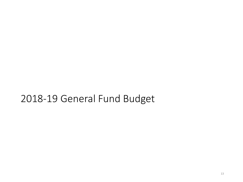### 2018-19 General Fund Budget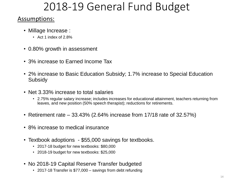## 2018-19 General Fund Budget

#### Assumptions:

- Millage Increase :
	- Act 1 index of 2.8%
- 0.80% growth in assessment
- 3% increase to Earned Income Tax
- 2% increase to Basic Education Subsidy; 1.7% increase to Special Education **Subsidy**
- Net 3.33% increase to total salaries
	- 2.75% regular salary increase; includes increases for educational attainment, teachers returning from leaves, and new position (50% speech therapist); reductions for retirements.
- Retirement rate  $-33.43\%$  (2.64% increase from 17/18 rate of 32.57%)
- 8% increase to medical insurance
- Textbook adoptions \$55,000 savings for textbooks.
	- 2017-18 budget for new textbooks: \$80,000
	- 2018-19 budget for new textbooks: \$25,000
- No 2018-19 Capital Reserve Transfer budgeted
	- 2017-18 Transfer is \$77,000 savings from debt refunding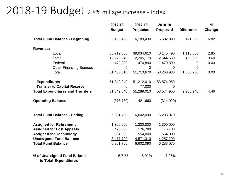### 2018-19 Budget 2.8% millage increase - Index

|                                                       | 2017-18<br><b>Budget</b> | 2017-18<br>Projected | 2018-19<br>Proposed | <b>Difference</b> | $\frac{9}{6}$<br>Change |
|-------------------------------------------------------|--------------------------|----------------------|---------------------|-------------------|-------------------------|
| <b>Total Fund Balance - Beginning</b>                 | 6,180,430                | 6,180,430            | 6,602,090           | 421,660           | 6.82                    |
| Revenue:                                              |                          |                      |                     |                   |                         |
| Local                                                 | 38,719,380               | 39,034,610           | 40,145,490          | 1,110,880         | 2.85                    |
| <b>State</b>                                          | 12,273,040               | 12,205,170           | 12,644,550          | 439,380           | 3.60                    |
| Federal                                               | 470,890                  | 470,890              | 470,890             | 0                 | 0.00                    |
| <b>Other Financing Sources</b>                        | $\mathbf 0$              | $\mathbf 0$          | 0                   | 0                 |                         |
| Total:                                                | 51,463,310               | 51,710,670           | 53,260,930          | 1,550,260         | 3.00                    |
| <b>Expenditures</b>                                   | 51,842,040               | 51,212,010           | 53,574,950          |                   |                         |
| <b>Transfer to Capital Reserve</b>                    | 0                        | 77,000               | 0                   |                   |                         |
| <b>Total Expenditures and Transfers</b>               | 51,842,040               | 51,289,010           | 53,574,950          | (2, 285, 940)     | 4.46                    |
| <b>Operating Balance:</b>                             | (378, 730)               | 421,660              | (314, 020)          |                   |                         |
| <b>Total Fund Balance - Ending</b>                    | 5,801,700                | 6,602,090            | 6,288,070           |                   |                         |
| <b>Assigned for Retirement</b>                        | 1,300,000                | 1,300,000            | 1,300,000           |                   |                         |
| <b>Assigned for Lost Appeals</b>                      | 470,000                  | 176,780              | 176,780             |                   |                         |
| <b>Assigned for Technology</b>                        | 554,000                  | 554,000              | 554,000             |                   |                         |
| <b>Unassigned Fund Balance</b>                        | 3,477,700                | 4,571,310            | 4,257,290           |                   |                         |
| <b>Total Fund Balance</b>                             | 5,801,700                | 6,602,090            | 6,288,070           |                   |                         |
| % of Unassigned Fund Balance<br>to Total Expenditures | 6.71%                    | 8.91%                | 7.95%               |                   |                         |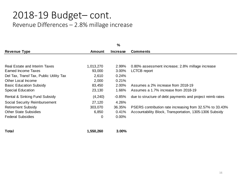#### 2018-19 Budget– cont.

Revenue Differences – 2.8% millage increase

|                                         |           | %               |                                                           |
|-----------------------------------------|-----------|-----------------|-----------------------------------------------------------|
| <b>Revenue Type</b>                     | Amount    | <b>Increase</b> | <b>Comments</b>                                           |
|                                         |           |                 |                                                           |
| Real Estate and Interim Taxes           | 1,013,270 | 2.99%           | 0.80% assessment increase; 2.8% millage increase          |
| Earned Income Taxes                     | 93,000    | 3.00%           | <b>LCTCB</b> report                                       |
| Del Tax, Transf Tax, Public Utility Tax | 2,610     | 0.24%           |                                                           |
| Other Local Income                      | 2,000     | 0.21%           |                                                           |
| <b>Basic Education Subsidy</b>          | 83,450    | 2.00%           | Assumes a 2% increase from 2018-19                        |
| <b>Special Education</b>                | 23,130    | 1.66%           | Assumes a 1.7% increase from 2018-19                      |
| Rental & Sinking Fund Subsidy           | (4, 240)  | $-0.85\%$       | due to structure of debt payments and project reimb rates |
| Social Security Reimbursement           | 27,120    | 4.26%           |                                                           |
| <b>Retirement Subsidy</b>               | 303,070   | 36.35%          | PSERS contribution rate increasing from 32.57% to 33.43%  |
| <b>Other State Subsidies</b>            | 6,850     | 0.41%           | Accountability Block, Transportation, 1305-1306 Subsidy   |
| <b>Federal Subsidies</b>                | 0         | 0.00%           |                                                           |

**Total 1,550,260 3.00%**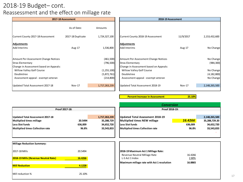#### 2018-19 Budget– cont. Reassessment and the effect on millage rate

|                                                                                                           | 2017-18 Assessment |                                            |                                                                                                           | 2018-19 Assessment |                                         |
|-----------------------------------------------------------------------------------------------------------|--------------------|--------------------------------------------|-----------------------------------------------------------------------------------------------------------|--------------------|-----------------------------------------|
|                                                                                                           | As of Date:        | Amounts                                    |                                                                                                           |                    |                                         |
| Current County 2017-18 Assessment                                                                         | 2017-18 Duplicate  | 1,724,327,100                              | Current County 2018-19 Assessment                                                                         | 11/9/2017          | 2,153,432,600                           |
| <b>Adjustments</b><br>Add Interims                                                                        | Aug-17             | 1,536,800                                  | Adjustments<br><b>Add Interims</b>                                                                        | Aug-17             | No Change                               |
| Amount Per Assessment Change Notices<br><b>Stras Elementary</b><br>Change in Assessment based on Appeals: |                    | (461,500)<br>(796, 500)                    | Amount Per Assessment Change Notices<br><b>Stras Elementary</b><br>Change in Assessment based on Appeals: |                    | No Change<br>(984, 300)                 |
| Willow Valley Golf Course<br>Doubletree<br>Assessment appeal - exempt veteran                             |                    | (1, 255, 100)<br>(5,872,761)<br>(214, 800) | Willow Valley Golf Course<br>Doubletree<br>Assessment appeal - exempt veteran                             |                    | No Change<br>(4, 182, 800)<br>No Change |
| Updated Total Assessment 2017-18                                                                          | Nov-17             | 1,717,263,239                              | Updated Total Assessment 2018-19                                                                          | Nov-17             | 2,148,265,500                           |

**Percent Increase in Assessment 25.10%**

|                                  |         |               |                                         | conversion     |               |
|----------------------------------|---------|---------------|-----------------------------------------|----------------|---------------|
| Proof 2017-18:                   |         |               |                                         | Proof 2018-19: |               |
|                                  |         |               |                                         |                |               |
| Updated Total Assessment 2017-18 |         | 1,717,263,239 | Updated Total Assessment 2018-19        |                | 2,148,265,500 |
| Multiplied times millage         | 20.5494 | 35,288,729    | Multiplied times NEW millage            | 16.4266        | 35,288,729.20 |
| Less Slot funds                  | 636.009 | 34,652,720    | Less Slot funds                         | 636,009        | 34,652,720    |
| Multiplied times Collection rate | 96.8%   | 33,543,833    | <b>Multiplied times Collection rate</b> | 96.8%          | 33,543,833    |
|                                  |         |               |                                         |                |               |
|                                  |         |               |                                         |                |               |

| <b>Conversion</b>                |         |               |  |  |  |
|----------------------------------|---------|---------------|--|--|--|
| Proof 2018-19:                   |         |               |  |  |  |
|                                  |         |               |  |  |  |
| Updated Total Assessment 2018-19 |         | 2,148,265,500 |  |  |  |
| Multiplied times NEW millage     | 16.4266 | 35,288,729.20 |  |  |  |
| <b>Less Slot funds</b>           | 636,009 | 34,652,720    |  |  |  |
| Multiplied times Collection rate | 96.8%   | 33,543,833    |  |  |  |
|                                  |         |               |  |  |  |

| Millage Reduction Summary:                  |         |
|---------------------------------------------|---------|
| 2017-18 Mills                               | 20.5494 |
|                                             |         |
| <b>2018-19 Mills (Revenue Neutral Rate)</b> | 16.4266 |
|                                             |         |
| <b>Mill Reduction</b>                       | 4.1228  |
|                                             |         |
| Mill reduction %                            | 25.10%  |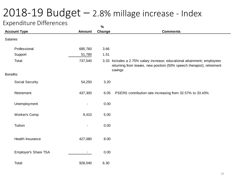## 2018-19 Budget – 2.8% millage increase - Index

#### Expenditure Differences

| ______________       |                | $\%$   |                                                                                                                                                               |
|----------------------|----------------|--------|---------------------------------------------------------------------------------------------------------------------------------------------------------------|
| <b>Account Type</b>  | Amount         | Change | <b>Comments</b>                                                                                                                                               |
| Salaries             |                |        |                                                                                                                                                               |
| Professional         | 685,760        | 3.66   |                                                                                                                                                               |
| Support              | 51,780         | 1.51   |                                                                                                                                                               |
| Total:               | 737,540        |        | 3.33 Includes a 2.75% salary increase; educational attainment; employees<br>returning from leaves, new position (50% speech therapist); retirement<br>savings |
| <b>Benefits</b>      |                |        |                                                                                                                                                               |
| Social Security      | 54,250         | 3.20   |                                                                                                                                                               |
| Retirement           | 437,300        | 6.05   | PSERS contribution rate increasing from 32.57% to 33.43%                                                                                                      |
| Unemployment         |                | 0.00   |                                                                                                                                                               |
| Worker's Comp        | 9,410          | 5.00   |                                                                                                                                                               |
| Tuition              | $\blacksquare$ | 0.00   |                                                                                                                                                               |
| Health Insurance     | 427,080        | 8.00   |                                                                                                                                                               |
| Employer's Share TSA | ۰.             | 0.00   |                                                                                                                                                               |
| Total:               | 928,040        | 6.30   |                                                                                                                                                               |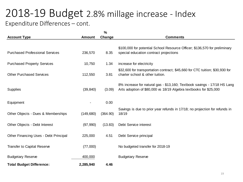#### 2018-19 Budget 2.8% millage increase - Index Expenditure Differences – cont.

|                                        |               | $\%$     |                                                                                                                                               |
|----------------------------------------|---------------|----------|-----------------------------------------------------------------------------------------------------------------------------------------------|
| <b>Account Type</b>                    | <b>Amount</b> | Change   | <b>Comments</b>                                                                                                                               |
|                                        |               |          | \$100,000 for potential School Resource Officer; \$136,570 for preliminary                                                                    |
| <b>Purchased Professional Services</b> | 236,570       | 8.35     | special education contract projections                                                                                                        |
| <b>Purchased Property Services</b>     | 10,750        | 1.34     | increase for electricity                                                                                                                      |
| <b>Other Purchased Services</b>        | 112,550       | 3.81     | \$32,600 for transportation contract; \$45,660 for CTC tuition; \$30,930 for<br>charter school & other tuition.                               |
| Supplies                               | (39, 840)     | (3.09)   | 8% increase for natural gas - \$13,160; Textbook savings - 17/18 HS Lang<br>Arts adoption of \$80,000 vs 18/19 Algebra textbooks for \$25,000 |
| Equipment                              |               | 0.00     |                                                                                                                                               |
| Other Objects - Dues & Memberships     | (149, 680)    | (364.90) | Savings is due to prior year refunds in 17/18; no projection for refunds in<br>18/19                                                          |
| Other Objects - Debt Interest          | (97, 990)     | (13.83)  | Debt Service interest                                                                                                                         |
| Other Financing Uses - Debt Principal  | 225,000       | 4.51     | Debt Service principal                                                                                                                        |
| <b>Transfer to Capital Reserve</b>     | (77,000)      |          | No budgeted transfer for 2018-19                                                                                                              |
| <b>Budgetary Reserve</b>               | 400,000       |          | <b>Budgetary Reserve</b>                                                                                                                      |
| <b>Total Budget Difference:</b>        | 2,285,940     | 4.46     |                                                                                                                                               |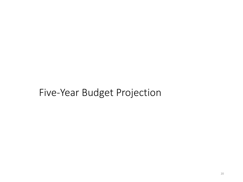### Five-Year Budget Projection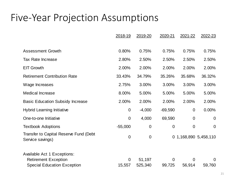#### Five-Year Projection Assumptions

|                                                            | 2018-19        | 2019-20     | 2020-21     | 2021-22        | 2022-23               |
|------------------------------------------------------------|----------------|-------------|-------------|----------------|-----------------------|
|                                                            |                |             |             |                |                       |
| <b>Assessment Growth</b>                                   | 0.80%          | 0.75%       | 0.75%       | 0.75%          | 0.75%                 |
| <b>Tax Rate Increase</b>                                   | 2.80%          | 2.50%       | 2.50%       | 2.50%          | 2.50%                 |
| <b>EIT Growth</b>                                          | 2.00%          | 2.00%       | 2.00%       | 2.00%          | 2.00%                 |
| <b>Retirement Contribution Rate</b>                        | 33.43%         | 34.79%      | 35.26%      | 35.68%         | 36.32%                |
| Wage Increases                                             | 2.75%          | 3.00%       | 3.00%       | 3.00%          | 3.00%                 |
| <b>Medical Increase</b>                                    | 8.00%          | 5.00%       | 5.00%       | 5.00%          | 5.00%                 |
| <b>Basic Education Subsidy Increase</b>                    | 2.00%          | 2.00%       | 2.00%       | 2.00%          | 2.00%                 |
| <b>Hybrid Learning Initiative</b>                          | $\mathbf 0$    | $-4,000$    | $-69,590$   | $\overline{0}$ | 0.00%                 |
| One-to-one Initiative                                      | $\mathbf 0$    | 4,000       | 69,590      | $\mathbf 0$    | $\mathbf 0$           |
| <b>Textbook Adoptions</b>                                  | $-55,000$      | $\mathbf 0$ | $\mathbf 0$ | $\overline{0}$ | $\overline{0}$        |
| Transfer to Capital Reserve Fund (Debt<br>Service savings) | $\mathbf 0$    | $\mathbf 0$ |             |                | 0 1,168,890 5,458,110 |
| Available Act 1 Exceptions:                                |                |             |             |                |                       |
| <b>Retirement Exception</b>                                | $\overline{0}$ | 51,197      | $\Omega$    | $\overline{0}$ | 0                     |
| <b>Special Education Exception</b>                         | 15,557         | 525,340     | 99,725      | 56,914         | 59,760                |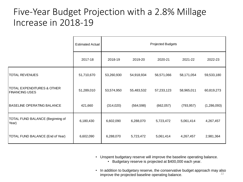#### Five-Year Budget Projection with a 2.8% Millage Increase in 2018-19

|                                                     | <b>Estimated Actual</b> | Projected Budgets |            |            |            |             |  |  |
|-----------------------------------------------------|-------------------------|-------------------|------------|------------|------------|-------------|--|--|
|                                                     | 2017-18                 | 2018-19           | 2019-20    | 2020-21    | 2021-22    | 2022-23     |  |  |
| <b>TOTAL REVENUES</b>                               | 51,710,670              | 53,260,930        | 54,918,934 | 56,571,066 | 58,171,054 | 59,533,180  |  |  |
| TOTAL EXPENDITURES & OTHER<br><b>FINANCING USES</b> | 51,289,010              | 53,574,950        | 55,483,532 | 57,233,123 | 58,965,011 | 60,819,273  |  |  |
| <b>BASELINE OPERATING BALANCE</b>                   | 421,660                 | (314, 020)        | (564, 598) | (662, 057) | (793, 957) | (1,286,093) |  |  |
| TOTAL FUND BALANCE (Beginning of<br>Year)           | 6,180,430               | 6,602,090         | 6,288,070  | 5,723,472  | 5,061,414  | 4,267,457   |  |  |
| TOTAL FUND BALANCE (End of Year)                    | 6,602,090               | 6,288,070         | 5,723,472  | 5,061,414  | 4,267,457  | 2,981,364   |  |  |

• Unspent budgetary reserve will improve the baseline operating balance.

- Budgetary reserve is projected at \$400,000 each year.
- 22 • In addition to budgetary reserve, the conservative budget approach may also improve the projected baseline operating balance.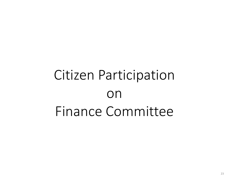# Citizen Participation on Finance Committee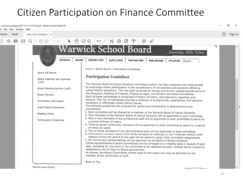### Citizen Participation on Finance Committee